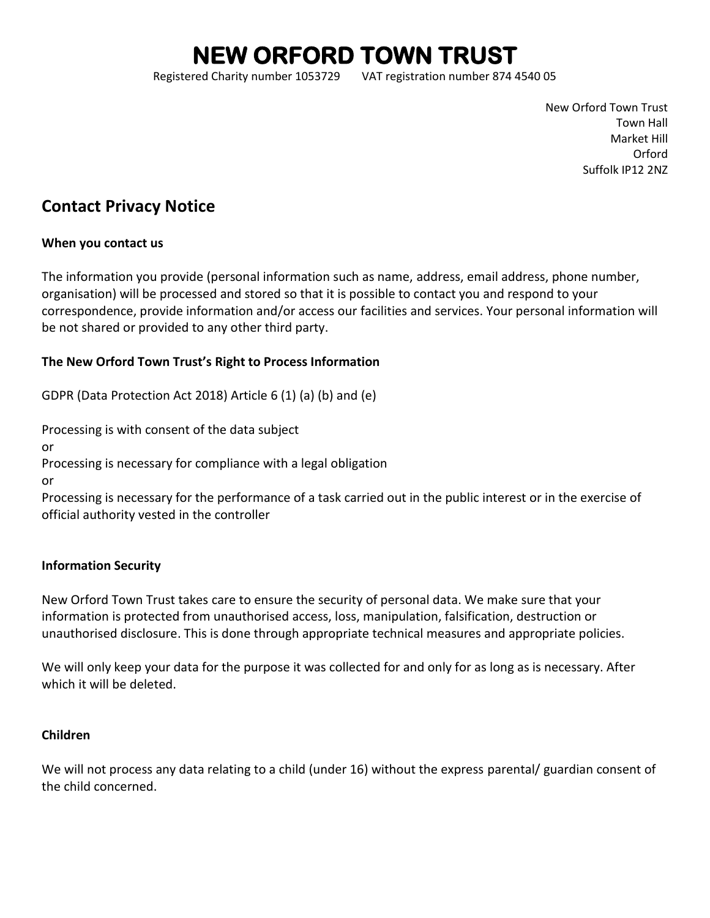# **NEW ORFORD TOWN TRUST**

Registered Charity number 1053729 VAT registration number 874 4540 05

New Orford Town Trust Town Hall Market Hill Orford Suffolk IP12 2NZ

# **Contact Privacy Notice**

#### **When you contact us**

The information you provide (personal information such as name, address, email address, phone number, organisation) will be processed and stored so that it is possible to contact you and respond to your correspondence, provide information and/or access our facilities and services. Your personal information will be not shared or provided to any other third party.

# **The New Orford Town Trust's Right to Process Information**

GDPR (Data Protection Act 2018) Article 6 (1) (a) (b) and (e)

Processing is with consent of the data subject

or

Processing is necessary for compliance with a legal obligation

or

Processing is necessary for the performance of a task carried out in the public interest or in the exercise of official authority vested in the controller

#### **Information Security**

New Orford Town Trust takes care to ensure the security of personal data. We make sure that your information is protected from unauthorised access, loss, manipulation, falsification, destruction or unauthorised disclosure. This is done through appropriate technical measures and appropriate policies.

We will only keep your data for the purpose it was collected for and only for as long as is necessary. After which it will be deleted.

# **Children**

We will not process any data relating to a child (under 16) without the express parental/ guardian consent of the child concerned.